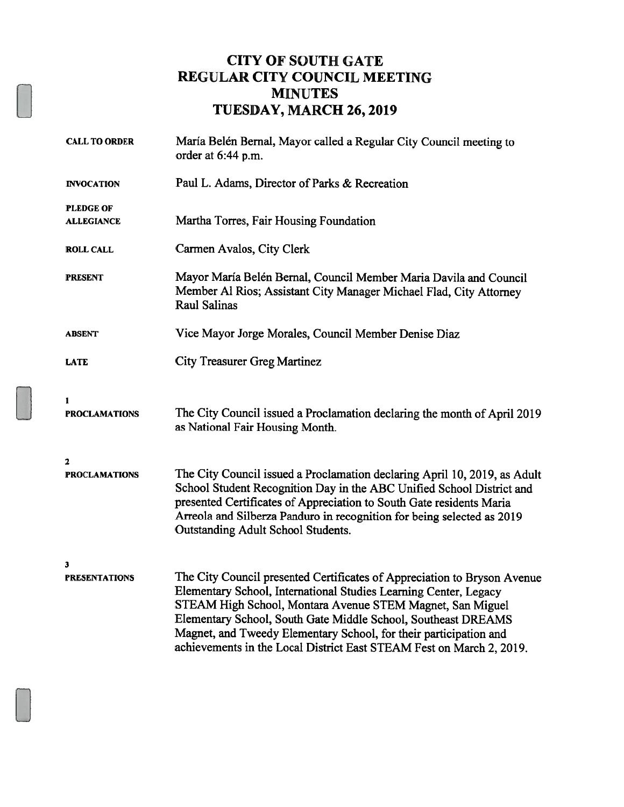### CITY OF SOUTH GATE REGULAR CITY COUNCIL MEETING MINUTES TUESDAY, MARCH 26, 2019

| <b>CALL TO ORDER</b>                  | María Belén Bernal, Mayor called a Regular City Council meeting to<br>order at 6:44 p.m.                                                                                                                                                                                                                                                                                                                                |  |
|---------------------------------------|-------------------------------------------------------------------------------------------------------------------------------------------------------------------------------------------------------------------------------------------------------------------------------------------------------------------------------------------------------------------------------------------------------------------------|--|
| <b>INVOCATION</b>                     | Paul L. Adams, Director of Parks & Recreation                                                                                                                                                                                                                                                                                                                                                                           |  |
| <b>PLEDGE OF</b><br><b>ALLEGIANCE</b> | Martha Torres, Fair Housing Foundation                                                                                                                                                                                                                                                                                                                                                                                  |  |
| <b>ROLL CALL</b>                      | Carmen Avalos, City Clerk                                                                                                                                                                                                                                                                                                                                                                                               |  |
| <b>PRESENT</b>                        | Mayor María Belén Bernal, Council Member Maria Davila and Council<br>Member Al Rios; Assistant City Manager Michael Flad, City Attorney<br><b>Raul Salinas</b>                                                                                                                                                                                                                                                          |  |
| <b>ABSENT</b>                         | Vice Mayor Jorge Morales, Council Member Denise Diaz                                                                                                                                                                                                                                                                                                                                                                    |  |
| <b>LATE</b>                           | <b>City Treasurer Greg Martinez</b>                                                                                                                                                                                                                                                                                                                                                                                     |  |
| 1<br><b>PROCLAMATIONS</b>             | The City Council issued a Proclamation declaring the month of April 2019<br>as National Fair Housing Month.                                                                                                                                                                                                                                                                                                             |  |
| $\mathbf{2}$                          |                                                                                                                                                                                                                                                                                                                                                                                                                         |  |
| <b>PROCLAMATIONS</b>                  | The City Council issued a Proclamation declaring April 10, 2019, as Adult<br>School Student Recognition Day in the ABC Unified School District and<br>presented Certificates of Appreciation to South Gate residents Maria<br>Arreola and Silberza Panduro in recognition for being selected as 2019<br><b>Outstanding Adult School Students.</b>                                                                       |  |
| $\mathbf{3}$<br><b>PRESENTATIONS</b>  | The City Council presented Certificates of Appreciation to Bryson Avenue<br>Elementary School, International Studies Learning Center, Legacy<br>STEAM High School, Montara Avenue STEM Magnet, San Miguel<br>Elementary School, South Gate Middle School, Southeast DREAMS<br>Magnet, and Tweedy Elementary School, for their participation and<br>achievements in the Local District East STEAM Fest on March 2, 2019. |  |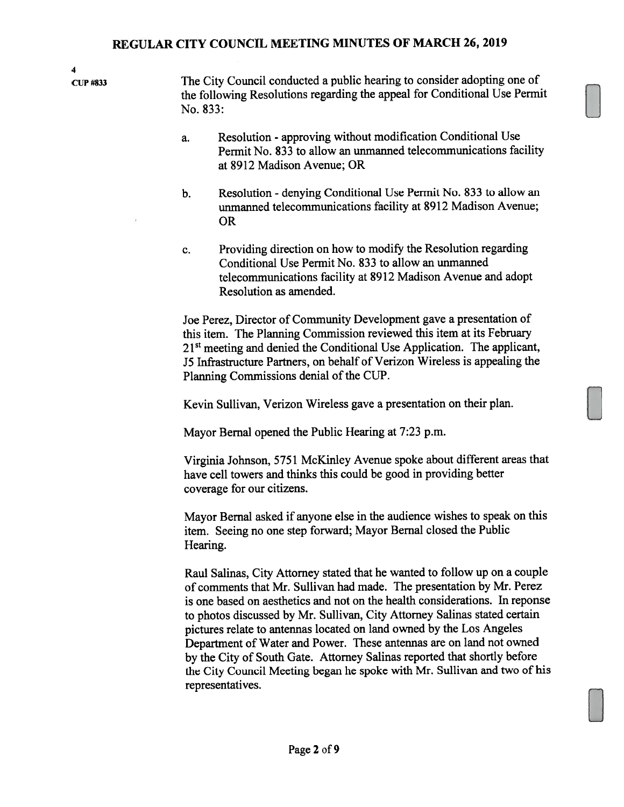UP #833 The City Council conducted <sup>a</sup> public hearing to consider adopting one of the following Resolutions regarding the appea<sup>l</sup> for Conditional Use Permit No. 833:

- a. Resolution approving without modification Conditional Use Permit No. 833 to allow an unmanned telecommunications facility at 8912 Madison Avenue; OR
- b. Resolution denying Conditional Use Permit No. 833 to allow an unmanned telecommunications facility at 8912 Madison Avenue; OR
- c. Providing direction on how to modify the Resolution regarding Conditional Use Permit No. 833 to allow an unmanned telecommunications facility at 8912 Madison Avenue and adopt Resolution as amended.

Joe Perez, Director of Community Development gave <sup>a</sup> presentation of this item. The Planning Commission reviewed this item at its February 21<sup>st</sup> meeting and denied the Conditional Use Application. The applicant, J5 Infrastructure Partners, on behalf of Verizon Wireless is appealing the Planning Commissions denial of the CUP.

Kevin Sullivan, Verizon Wireless gave <sup>a</sup> presentation on their plan. Kevin Sullivan, Verizon Wireless gave a presentation on their plan.<br>Mayor Bernal opened the Public Hearing at 7:23 p.m.

Virginia Johnson, 5751 McKinley Avenue spoke about different areas that have cell towers and thinks this could be good in providing better coverage for our citizens.

Mayor Bernal asked if anyone else in the audience wishes to spea<sup>k</sup> on this item. Seeing no one step forward; Mayor Bernal closed the Public Hearing.

Raul Salinas, City Attorney stated that he wanted to follow up on <sup>a</sup> couple of comments that Mr. Sullivan had made. The presentation by Mr. Perez is one based on aesthetics and not on the health considerations. In reponse to <sup>p</sup>hotos discussed by Mr. Sullivan, City Attorney Salinas stated certain <sup>p</sup>ictures relate to antennas located on land owned by the Los Angeles Department of Water and Power. These antennas are on land not owned by the City of South Gate. Attorney Salinas reported that shortly before the City Council Meeting began he spoke with Mr. Sullivan and two of his representatives.

LI

4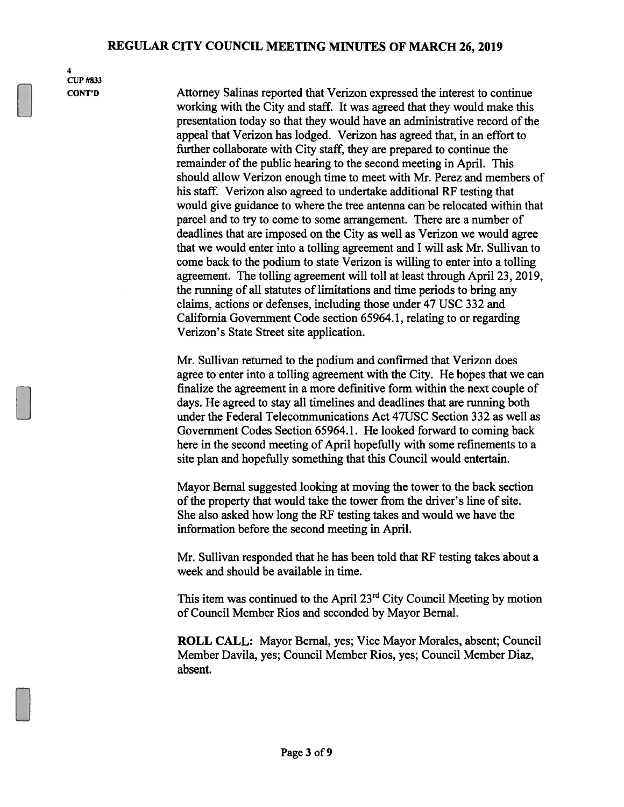4 CUP #833

CONT'D Attorney Salinas reported that Verizon expressed the interest to continue working with the City and staff. It was agreed that they would make this presentation today so that they would have an administrative record of the appeal that Verizon has lodged. Verizon has agreed that, in an effort to further collaborate with City staff, they are prepared to continue the remainder of the public hearing to the second meeting in April. This should allow Verizon enough time to meet with Mr. Perez and members of his staff. Verizon also agreed to undertake additional RF testing that would give guidance to where the tree antenna can be relocated within that parcel and to try to come to some arrangement. There are <sup>a</sup> number of deadlines that are imposed on the City as well as Verizon we would agree that we would enter into <sup>a</sup> tolling agreemen<sup>t</sup> and I will ask Mr. Sullivan to come back to the podium to state Verizon is willing to enter into <sup>a</sup> tolling agreement. The tolling agreemen<sup>t</sup> will toll at least through April 23, 2019, the running of all statutes of limitations and time periods to bring any claims, actions or defenses, including those under 47 USC 332 and California Government Code section 65964.1, relating to or regarding Verizon's State Street site application.

> Mr. Sullivan returned to the podium and confirmed that Verizon does agree to enter into <sup>a</sup> tolling agreemen<sup>t</sup> with the City. He hopes that we can finalize the agreemen<sup>t</sup> in <sup>a</sup> more definitive form within the next couple of days. He agreed to stay all timelines and deadlines that are running both under the Federal Telecommunications Act 47USC Section 332 as well as Government Codes Section 65964.1. He looked forward to coming back here in the second meeting of April hopefully with some refinements to <sup>a</sup> site plan and hopefully something that this Council would entertain.

Mayor Bemal suggested looking at moving the tower to the back section of the property that would take the tower from the driver's line of site. She also asked how long the RF testing takes and would we have the information before the second meeting in April.

Mr. Sullivan responded that he has been told that RF testing takes about <sup>a</sup> week and should be available in time.

This item was continued to the April  $23<sup>rd</sup>$  City Council Meeting by motion of Council Member Rios and seconded by Mayor Bernal.

ROLL CALL: Mayor Bernal, yes; Vice Mayor Morales, absent; Council Member Davila, yes; Council Member Rios, yes; Council Member Diaz, absent.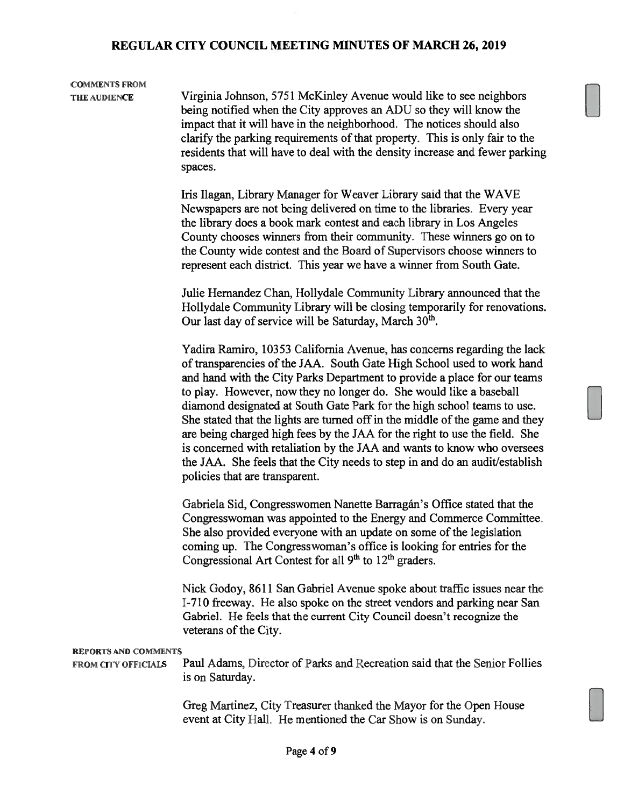# COMMENTS FROM

THE AUDIENCE Virginia Johnson, 5751 McKinley Avenue would like to see neighbors being notified when the City approves an ADU so they will know the impact that it will have in the neighborhood. The notices should also clarify the parking requirements of that property. This is only fair to the residents that will have to deal with the density increase and fewer parking spaces.

> Iris Ilagan, Library Manager for Weaver Library said that the WAVE Newspapers are not being delivered on time to the libraries. Every year the library does <sup>a</sup> book mark contest and each library in Los Angeles County chooses winners from their community. These winners go on to the County wide contest and the Board of Supervisors choose winners to represen<sup>t</sup> each district. This year we have <sup>a</sup> winner from South Gate.

Julie Hernandez Chan, Hollydale Community Library announced that the Hollydale Community Library will be closing temporarily for renovations. Our last day of service will be Saturday, March  $30<sup>th</sup>$ .

Yadira Ramiro, 10353 California Avenue, has concerns regarding the lack of transparencies of the JAA. South Gate High School used to work hand and hand with the City Parks Department to provide <sup>a</sup> place for our teams to play. However, now they no longer do. She would like <sup>a</sup> baseball diamond designated at South Gate Park for the high school teams to use. She stated that the lights are turned off in the middle of the game and they are being charged high fees by the JAA for the right to use the field. She is concerned with retaliation by the JAA and wants to know who oversees the JAA. She feels that the City needs to step in and do an audit/establish policies that are transparent.

Gabriela Sid, Congresswomen Nanette Barragán's Office stated that the Congresswoman was appointed to the Energy and Commerce Committee. She also provided everyone with an update on some of the legislation coming up. The Congresswoman's office is looking for entries for the Congressional Art Contest for all  $9<sup>th</sup>$  to  $12<sup>th</sup>$  graders.

Nick Godoy, 8611 San Gabriel Avenue spoke about traffic issues near the 1-710 freeway. He also spoke on the street vendors and parking near San Gabriel. He feels that the current City Council doesn't recognize the veterans of the City.

#### REPORTS AND COMMENTS

FROM CITY OFFICIALS Paul Adams, Director of Parks and Recreation said that the Senior Follies is on Saturday.

> Greg Martinez, City Treasurer thanked the Mayor for the Open house event at City Hall. He mentioned the Car Show is on Sunday.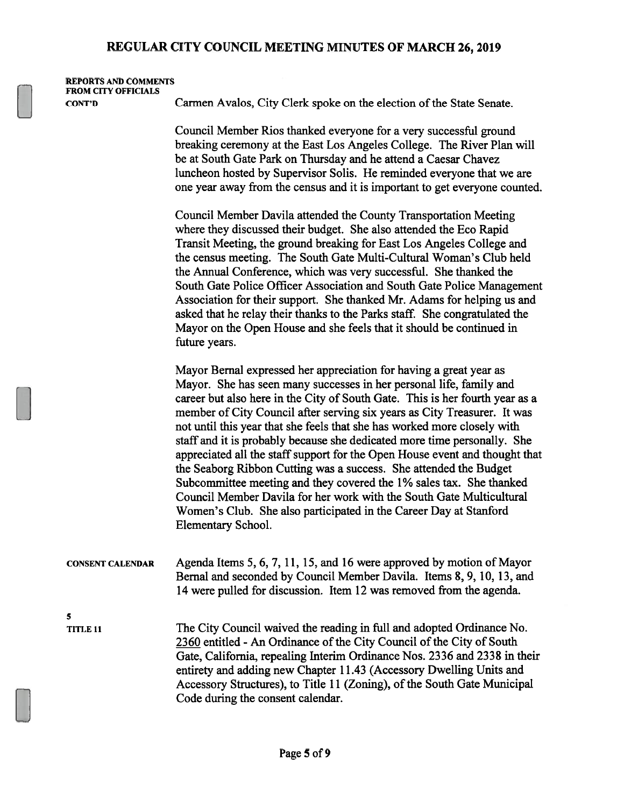| <b>REPORTS AND COMMENTS</b><br><b>FROM CITY OFFICIALS</b> |                                                                                                                                                                                                                                                                                                                                                                                                                                                                                                                                                                                                                                                                                                                                                                                                                                                             |  |  |  |
|-----------------------------------------------------------|-------------------------------------------------------------------------------------------------------------------------------------------------------------------------------------------------------------------------------------------------------------------------------------------------------------------------------------------------------------------------------------------------------------------------------------------------------------------------------------------------------------------------------------------------------------------------------------------------------------------------------------------------------------------------------------------------------------------------------------------------------------------------------------------------------------------------------------------------------------|--|--|--|
| <b>CONT'D</b>                                             | Carmen Avalos, City Clerk spoke on the election of the State Senate.                                                                                                                                                                                                                                                                                                                                                                                                                                                                                                                                                                                                                                                                                                                                                                                        |  |  |  |
|                                                           | Council Member Rios thanked everyone for a very successful ground<br>breaking ceremony at the East Los Angeles College. The River Plan will<br>be at South Gate Park on Thursday and he attend a Caesar Chavez<br>luncheon hosted by Supervisor Solis. He reminded everyone that we are<br>one year away from the census and it is important to get everyone counted.                                                                                                                                                                                                                                                                                                                                                                                                                                                                                       |  |  |  |
|                                                           | Council Member Davila attended the County Transportation Meeting<br>where they discussed their budget. She also attended the Eco Rapid<br>Transit Meeting, the ground breaking for East Los Angeles College and<br>the census meeting. The South Gate Multi-Cultural Woman's Club held<br>the Annual Conference, which was very successful. She thanked the<br>South Gate Police Officer Association and South Gate Police Management<br>Association for their support. She thanked Mr. Adams for helping us and<br>asked that he relay their thanks to the Parks staff. She congratulated the<br>Mayor on the Open House and she feels that it should be continued in<br>future years.                                                                                                                                                                     |  |  |  |
|                                                           | Mayor Bernal expressed her appreciation for having a great year as<br>Mayor. She has seen many successes in her personal life, family and<br>career but also here in the City of South Gate. This is her fourth year as a<br>member of City Council after serving six years as City Treasurer. It was<br>not until this year that she feels that she has worked more closely with<br>staff and it is probably because she dedicated more time personally. She<br>appreciated all the staff support for the Open House event and thought that<br>the Seaborg Ribbon Cutting was a success. She attended the Budget<br>Subcommittee meeting and they covered the 1% sales tax. She thanked<br>Council Member Davila for her work with the South Gate Multicultural<br>Women's Club. She also participated in the Career Day at Stanford<br>Elementary School. |  |  |  |
| <b>CONSENT CALENDAR</b>                                   | Agenda Items 5, 6, 7, 11, 15, and 16 were approved by motion of Mayor<br>Bernal and seconded by Council Member Davila. Items 8, 9, 10, 13, and<br>14 were pulled for discussion. Item 12 was removed from the agenda.                                                                                                                                                                                                                                                                                                                                                                                                                                                                                                                                                                                                                                       |  |  |  |
| 5                                                         |                                                                                                                                                                                                                                                                                                                                                                                                                                                                                                                                                                                                                                                                                                                                                                                                                                                             |  |  |  |
| TITLE 11                                                  | The City Council waived the reading in full and adopted Ordinance No.<br>2360 entitled - An Ordinance of the City Council of the City of South<br>Gate, California, repealing Interim Ordinance Nos. 2336 and 2338 in their<br>entirety and adding new Chapter 11.43 (Accessory Dwelling Units and<br>Accessory Structures), to Title 11 (Zoning), of the South Gate Municipal<br>Code during the consent calendar.                                                                                                                                                                                                                                                                                                                                                                                                                                         |  |  |  |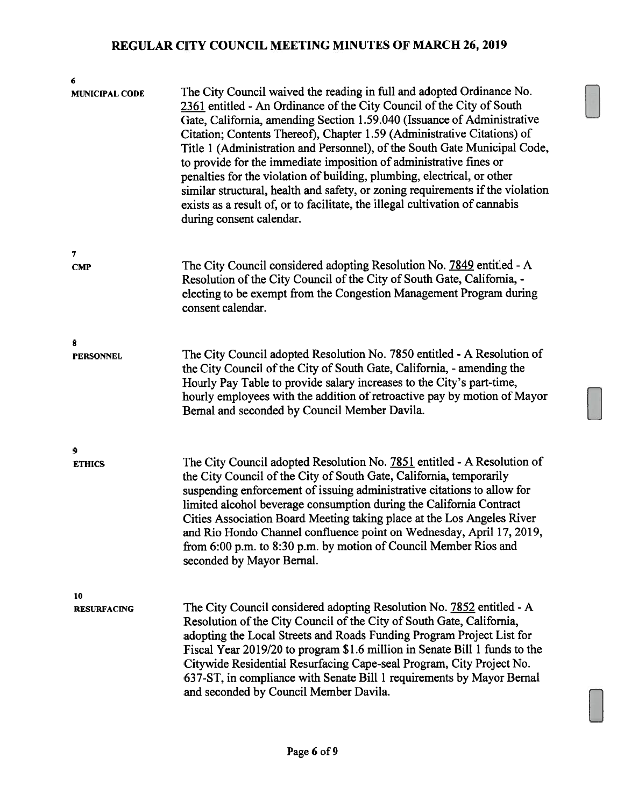| 6                        |                                                                                                                                                                                                                                                                                                                                                                                                                                                                                                                                                                                                                                                                                                                                  |  |  |
|--------------------------|----------------------------------------------------------------------------------------------------------------------------------------------------------------------------------------------------------------------------------------------------------------------------------------------------------------------------------------------------------------------------------------------------------------------------------------------------------------------------------------------------------------------------------------------------------------------------------------------------------------------------------------------------------------------------------------------------------------------------------|--|--|
| <b>MUNICIPAL CODE</b>    | The City Council waived the reading in full and adopted Ordinance No.<br>2361 entitled - An Ordinance of the City Council of the City of South<br>Gate, California, amending Section 1.59.040 (Issuance of Administrative<br>Citation; Contents Thereof), Chapter 1.59 (Administrative Citations) of<br>Title 1 (Administration and Personnel), of the South Gate Municipal Code,<br>to provide for the immediate imposition of administrative fines or<br>penalties for the violation of building, plumbing, electrical, or other<br>similar structural, health and safety, or zoning requirements if the violation<br>exists as a result of, or to facilitate, the illegal cultivation of cannabis<br>during consent calendar. |  |  |
| 7                        |                                                                                                                                                                                                                                                                                                                                                                                                                                                                                                                                                                                                                                                                                                                                  |  |  |
| <b>CMP</b>               | The City Council considered adopting Resolution No. 7849 entitled - A<br>Resolution of the City Council of the City of South Gate, California, -<br>electing to be exempt from the Congestion Management Program during<br>consent calendar.                                                                                                                                                                                                                                                                                                                                                                                                                                                                                     |  |  |
|                          |                                                                                                                                                                                                                                                                                                                                                                                                                                                                                                                                                                                                                                                                                                                                  |  |  |
| 8                        |                                                                                                                                                                                                                                                                                                                                                                                                                                                                                                                                                                                                                                                                                                                                  |  |  |
| <b>PERSONNEL</b>         | The City Council adopted Resolution No. 7850 entitled - A Resolution of<br>the City Council of the City of South Gate, California, - amending the<br>Hourly Pay Table to provide salary increases to the City's part-time,<br>hourly employees with the addition of retroactive pay by motion of Mayor<br>Bernal and seconded by Council Member Davila.                                                                                                                                                                                                                                                                                                                                                                          |  |  |
|                          |                                                                                                                                                                                                                                                                                                                                                                                                                                                                                                                                                                                                                                                                                                                                  |  |  |
| 9                        |                                                                                                                                                                                                                                                                                                                                                                                                                                                                                                                                                                                                                                                                                                                                  |  |  |
| <b>ETHICS</b>            | The City Council adopted Resolution No. 7851 entitled - A Resolution of<br>the City Council of the City of South Gate, California, temporarily<br>suspending enforcement of issuing administrative citations to allow for<br>limited alcohol beverage consumption during the California Contract<br>Cities Association Board Meeting taking place at the Los Angeles River<br>and Rio Hondo Channel confluence point on Wednesday, April 17, 2019,<br>from 6:00 p.m. to 8:30 p.m. by motion of Council Member Rios and<br>seconded by Mayor Bernal.                                                                                                                                                                              |  |  |
|                          |                                                                                                                                                                                                                                                                                                                                                                                                                                                                                                                                                                                                                                                                                                                                  |  |  |
| 10<br><b>RESURFACING</b> | The City Council considered adopting Resolution No. 7852 entitled - A<br>Resolution of the City Council of the City of South Gate, California,<br>adopting the Local Streets and Roads Funding Program Project List for<br>Fiscal Year 2019/20 to program \$1.6 million in Senate Bill 1 funds to the<br>Citywide Residential Resurfacing Cape-seal Program, City Project No.<br>637-ST, in compliance with Senate Bill 1 requirements by Mayor Bernal<br>and seconded by Council Member Davila.                                                                                                                                                                                                                                 |  |  |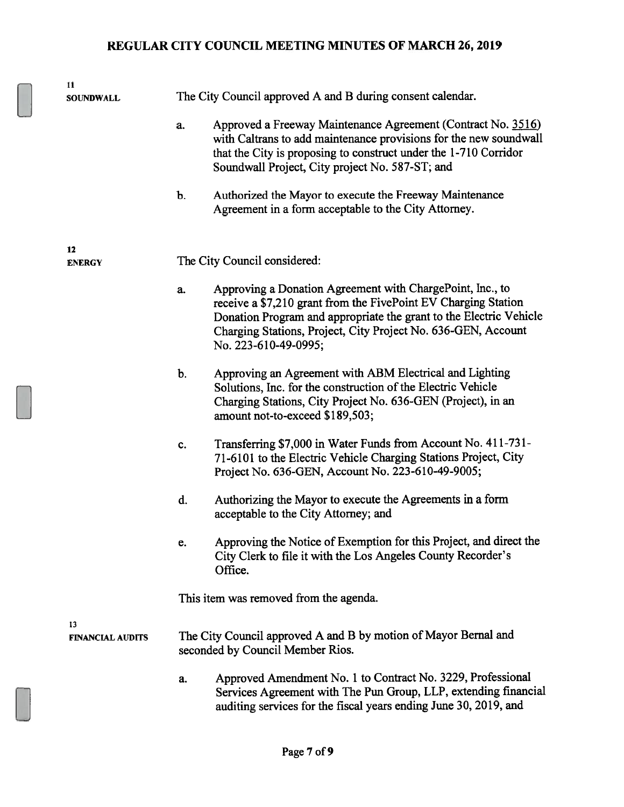| 11                            |                                                            |                                                                                                                                                                                                                                                                                            |  |
|-------------------------------|------------------------------------------------------------|--------------------------------------------------------------------------------------------------------------------------------------------------------------------------------------------------------------------------------------------------------------------------------------------|--|
| <b>SOUNDWALL</b>              | The City Council approved A and B during consent calendar. |                                                                                                                                                                                                                                                                                            |  |
|                               | a.                                                         | Approved a Freeway Maintenance Agreement (Contract No. 3516)<br>with Caltrans to add maintenance provisions for the new soundwall<br>that the City is proposing to construct under the 1-710 Corridor<br>Soundwall Project, City project No. 587-ST; and                                   |  |
|                               | b.                                                         | Authorized the Mayor to execute the Freeway Maintenance<br>Agreement in a form acceptable to the City Attorney.                                                                                                                                                                            |  |
| 12<br><b>ENERGY</b>           |                                                            | The City Council considered:                                                                                                                                                                                                                                                               |  |
|                               | a.                                                         | Approving a Donation Agreement with ChargePoint, Inc., to<br>receive a \$7,210 grant from the FivePoint EV Charging Station<br>Donation Program and appropriate the grant to the Electric Vehicle<br>Charging Stations, Project, City Project No. 636-GEN, Account<br>No. 223-610-49-0995; |  |
|                               | b.                                                         | Approving an Agreement with ABM Electrical and Lighting<br>Solutions, Inc. for the construction of the Electric Vehicle<br>Charging Stations, City Project No. 636-GEN (Project), in an<br>amount not-to-exceed \$189,503;                                                                 |  |
|                               | c.                                                         | Transferring \$7,000 in Water Funds from Account No. 411-731-<br>71-6101 to the Electric Vehicle Charging Stations Project, City<br>Project No. 636-GEN, Account No. 223-610-49-9005;                                                                                                      |  |
|                               | d.                                                         | Authorizing the Mayor to execute the Agreements in a form<br>acceptable to the City Attorney; and                                                                                                                                                                                          |  |
|                               | e.                                                         | Approving the Notice of Exemption for this Project, and direct the<br>City Clerk to file it with the Los Angeles County Recorder's<br>Office.                                                                                                                                              |  |
|                               |                                                            | This item was removed from the agenda.                                                                                                                                                                                                                                                     |  |
| 13<br><b>FINANCIAL AUDITS</b> |                                                            | The City Council approved A and B by motion of Mayor Bernal and<br>seconded by Council Member Rios.                                                                                                                                                                                        |  |
|                               | a.                                                         | Approved Amendment No. 1 to Contract No. 3229, Professional<br>Services Agreement with The Pun Group, LLP, extending financial<br>auditing services for the fiscal years ending June 30, 2019, and                                                                                         |  |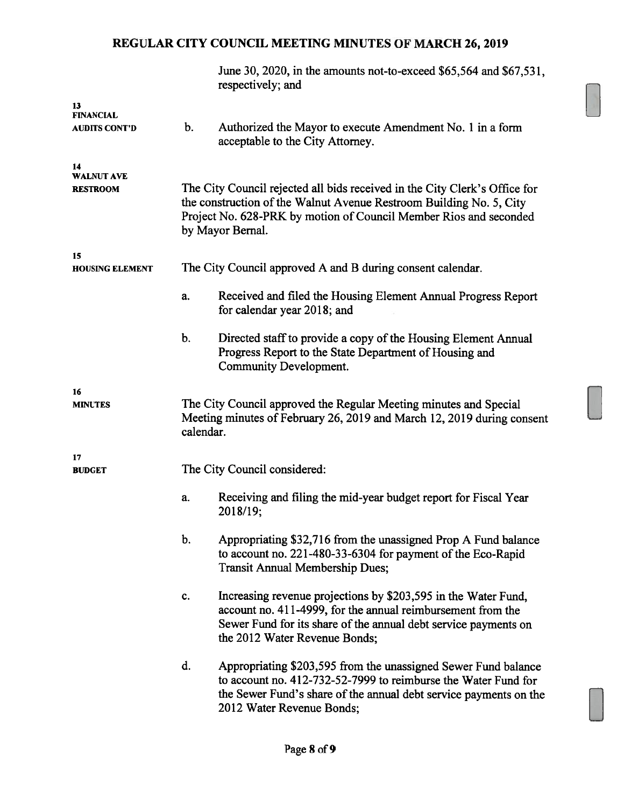|                                            |                                                                                                                                                                                                                                            | June 30, 2020, in the amounts not-to-exceed \$65,564 and \$67,531,<br>respectively; and                                                                                                                                            |
|--------------------------------------------|--------------------------------------------------------------------------------------------------------------------------------------------------------------------------------------------------------------------------------------------|------------------------------------------------------------------------------------------------------------------------------------------------------------------------------------------------------------------------------------|
| 13<br><b>FINANCIAL</b>                     |                                                                                                                                                                                                                                            |                                                                                                                                                                                                                                    |
| <b>AUDITS CONT'D</b>                       | b.                                                                                                                                                                                                                                         | Authorized the Mayor to execute Amendment No. 1 in a form<br>acceptable to the City Attorney.                                                                                                                                      |
| 14<br><b>WALNUT AVE</b><br><b>RESTROOM</b> | The City Council rejected all bids received in the City Clerk's Office for<br>the construction of the Walnut Avenue Restroom Building No. 5, City<br>Project No. 628-PRK by motion of Council Member Rios and seconded<br>by Mayor Bernal. |                                                                                                                                                                                                                                    |
| 15<br><b>HOUSING ELEMENT</b>               | The City Council approved A and B during consent calendar.                                                                                                                                                                                 |                                                                                                                                                                                                                                    |
|                                            |                                                                                                                                                                                                                                            |                                                                                                                                                                                                                                    |
|                                            | a.                                                                                                                                                                                                                                         | Received and filed the Housing Element Annual Progress Report<br>for calendar year 2018; and                                                                                                                                       |
|                                            | b.                                                                                                                                                                                                                                         | Directed staff to provide a copy of the Housing Element Annual<br>Progress Report to the State Department of Housing and<br>Community Development.                                                                                 |
| 16<br><b>MINUTES</b>                       | The City Council approved the Regular Meeting minutes and Special<br>Meeting minutes of February 26, 2019 and March 12, 2019 during consent<br>calendar.                                                                                   |                                                                                                                                                                                                                                    |
| 17<br><b>BUDGET</b>                        |                                                                                                                                                                                                                                            | The City Council considered:                                                                                                                                                                                                       |
|                                            | a.                                                                                                                                                                                                                                         | Receiving and filing the mid-year budget report for Fiscal Year<br>2018/19;                                                                                                                                                        |
|                                            | b.                                                                                                                                                                                                                                         | Appropriating \$32,716 from the unassigned Prop A Fund balance<br>to account no. 221-480-33-6304 for payment of the Eco-Rapid<br><b>Transit Annual Membership Dues;</b>                                                            |
|                                            | c.                                                                                                                                                                                                                                         | Increasing revenue projections by \$203,595 in the Water Fund,<br>account no. 411-4999, for the annual reimbursement from the<br>Sewer Fund for its share of the annual debt service payments on<br>the 2012 Water Revenue Bonds;  |
|                                            | d.                                                                                                                                                                                                                                         | Appropriating \$203,595 from the unassigned Sewer Fund balance<br>to account no. 412-732-52-7999 to reimburse the Water Fund for<br>the Sewer Fund's share of the annual debt service payments on the<br>2012 Water Revenue Bonds; |